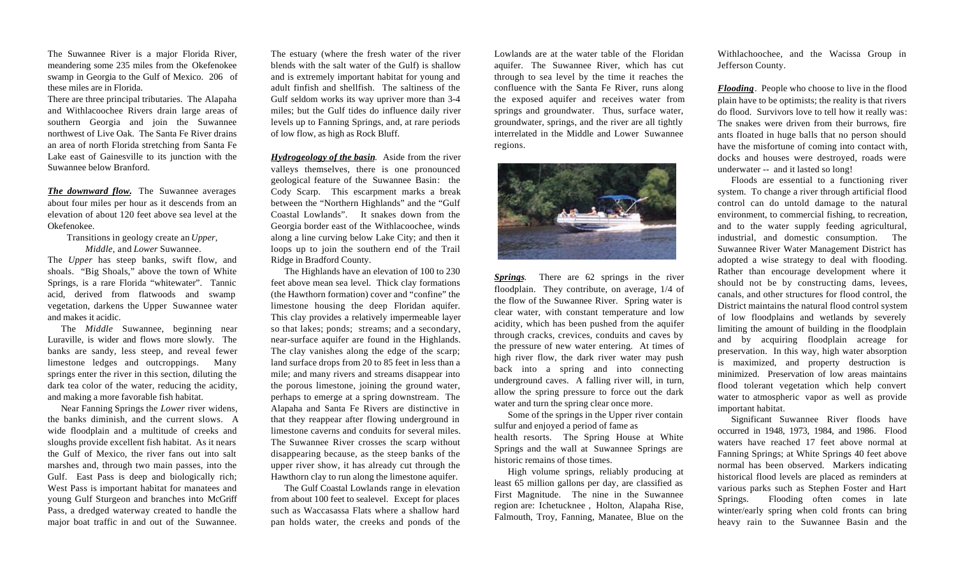The Suwannee River is a major Florida River, meandering some 235 miles from the Okefenokee swamp in Georgia to the Gulf of Mexico. 206 of these miles are in Florida.

There are three principal tributaries. The Alapaha and Withlacoochee Rivers drain large areas of southern Georgia and join the Suwannee northwest of Live Oak. The Santa Fe River drains an area of north Florida stretching from Santa Fe Lake east of Gainesville to its junction with the Suwannee below Branford.

*The downward flow.* The Suwannee averages about four miles per hour as it descends from an elevation of about 120 feet above sea level at the Okefenokee.

Transitions in geology create an *Upper, Middle,* and *Lower* Suwannee.

The *Upper* has steep banks, swift flow, and shoals. "Big Shoals," above the town of White Springs, is a rare Florida "whitewater". Tannic acid, derived from flatwoods and swamp vegetation, darkens the Upper Suwannee water and makes it acidic.

The *Middle* Suwannee, beginning near Luraville, is wider and flows more slowly. The banks are sandy, less steep, and reveal fewer limestone ledges and outcroppings. Many springs enter the river in this section, diluting the dark tea color of the water, reducing the acidity, and making a more favorable fish habitat.

Near Fanning Springs the *Lower* river widens, the banks diminish, and the current slows. A wide floodplain and a multitude of creeks and sloughs provide excellent fish habitat. As it nears the Gulf of Mexico, the river fans out into salt marshes and, through two main passes, into the Gulf. East Pass is deep and biologically rich; West Pass is important habitat for manatees and young Gulf Sturgeon and branches into McGriff Pass, a dredged waterway created to handle the major boat traffic in and out of the Suwannee.

The estuary (where the fresh water of the river blends with the salt water of the Gulf) is shallow and is extremely important habitat for young and adult finfish and shellfish. The saltiness of the Gulf seldom works its way upriver more than 3-4 miles; but the Gulf tides do influence daily river levels up to Fanning Springs, and, at rare periods of low flow, as high as Rock Bluff.

*Hydrogeology of the basin*. Aside from the river valleys themselves, there is one pronounced geological feature of the Suwannee Basin: the Cody Scarp. This escarpment marks a break between the "Northern Highlands" and the "Gulf Coastal Lowlands". It snakes down from the Georgia border east of the Withlacoochee, winds along a line curving below Lake City; and then it loops up to join the southern end of the Trail Ridge in Bradford County.

The Highlands have an elevation of 100 to 230 feet above mean sea level. Thick clay formations (the Hawthorn formation) cover and "confine" the limestone housing the deep Floridan aquifer. This clay provides a relatively impermeable layer so that lakes; ponds; streams; and a secondary, near-surface aquifer are found in the Highlands. The clay vanishes along the edge of the scarp; land surface drops from 20 to 85 feet in less than a mile; and many rivers and streams disappear into the porous limestone, joining the ground water, perhaps to emerge at a spring downstream. The Alapaha and Santa Fe Rivers are distinctive in that they reappear after flowing underground in limestone caverns and conduits for several miles. The Suwannee River crosses the scarp without disappearing because, as the steep banks of the upper river show, it has already cut through the Hawthorn clay to run along the limestone aquifer.

The Gulf Coastal Lowlands range in elevation from about 100 feet to sealevel. Except for places such as Waccasassa Flats where a shallow hard pan holds water, the creeks and ponds of the Lowlands are at the water table of the Floridan aquifer. The Suwannee River, which has cut through to sea level by the time it reaches the confluence with the Santa Fe River, runs along the exposed aquifer and receives water from springs and groundwater. Thus, surface water, groundwater, springs, and the river are all tightly interrelated in the Middle and Lower Suwannee regions.



*Springs*. There are 62 springs in the river floodplain. They contribute, on average, 1/4 of the flow of the Suwannee River. Spring water is clear water, with constant temperature and low acidity, which has been pushed from the aquifer through cracks, crevices, conduits and caves by the pressure of new water entering. At times of high river flow, the dark river water may push back into a spring and into connecting underground caves. A falling river will, in turn, allow the spring pressure to force out the dark water and turn the spring clear once more.

Some of the springs in the Upper river contain sulfur and enjoyed a period of fame as health resorts. The Spring House at White Springs and the wall at Suwannee Springs are historic remains of those times.

High volume springs, reliably producing at least 65 million gallons per day, are classified as First Magnitude. The nine in the Suwannee region are: Ichetucknee , Holton, Alapaha Rise, Falmouth, Troy, Fanning, Manatee, Blue on the Withlachoochee, and the Wacissa Group in Jefferson County.

*Flooding*. People who choose to live in the flood plain have to be optimists; the reality is that rivers do flood. Survivors love to tell how it really was: The snakes were driven from their burrows, fire ants floated in huge balls that no person should have the misfortune of coming into contact with, docks and houses were destroyed, roads were underwater -- and it lasted so long!

Floods are essential to a functioning river system. To change a river through artificial flood control can do untold damage to the natural environment, to commercial fishing, to recreation, and to the water supply feeding agricultural, industrial, and domestic consumption. The Suwannee River Water Management District has adopted a wise strategy to deal with flooding. Rather than encourage development where it should not be by constructing dams, levees, canals, and other structures for flood control, the District maintains the natural flood control system of low floodplains and wetlands by severely limiting the amount of building in the floodplain and by acquiring floodplain acreage for preservation. In this way, high water absorption is maximized, and property destruction is minimized. Preservation of low areas maintains flood tolerant vegetation which help convert water to atmospheric vapor as well as provide important habitat.

Significant Suwannee River floods have occurred in 1948, 1973, 1984, and 1986. Flood waters have reached 17 feet above normal at Fanning Springs; at White Springs 40 feet above normal has been observed. Markers indicating historical flood levels are placed as reminders at various parks such as Stephen Foster and Hart Springs. Flooding often comes in late winter/early spring when cold fronts can bring heavy rain to the Suwannee Basin and the